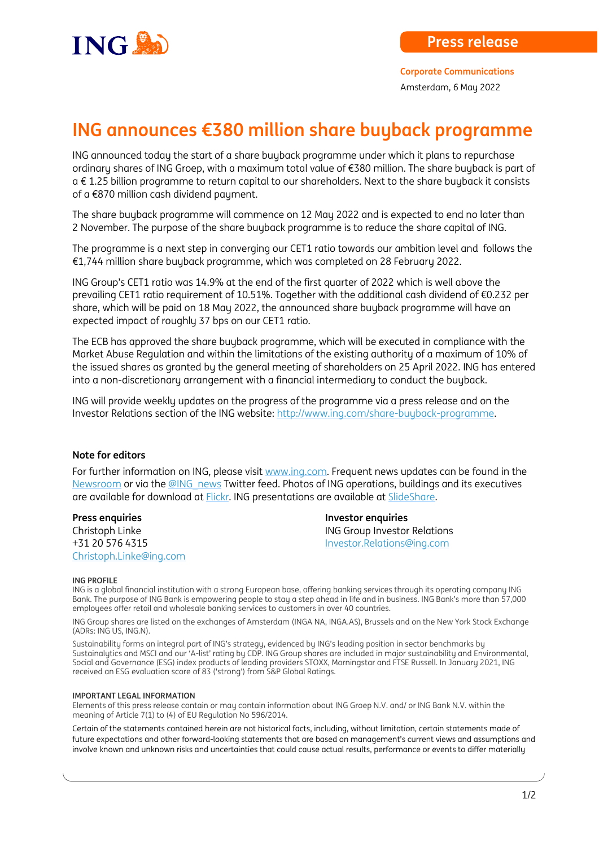

**Corporate Communications** Amsterdam, 6 May 2022

## **ING announces €380 million share buyback programme**

ING announced today the start of a share buyback programme under which it plans to repurchase ordinary shares of ING Groep, with a maximum total value of €380 million. The share buyback is part of a € 1.25 billion programme to return capital to our shareholders. Next to the share buyback it consists of a €870 million cash dividend payment.

The share buyback programme will commence on 12 May 2022 and is expected to end no later than 2 November. The purpose of the share buyback programme is to reduce the share capital of ING.

The programme is a next step in converging our CET1 ratio towards our ambition level and follows the €1,744 million share buyback programme, which was completed on 28 February 2022.

ING Group's CET1 ratio was 14.9% at the end of the first quarter of 2022 which is well above the prevailing CET1 ratio requirement of 10.51%. Together with the additional cash dividend of €0.232 per share, which will be paid on 18 May 2022, the announced share buyback programme will have an expected impact of roughly 37 bps on our CET1 ratio.

The ECB has approved the share buyback programme, which will be executed in compliance with the Market Abuse Regulation and within the limitations of the existing authority of a maximum of 10% of the issued shares as granted by the general meeting of shareholders on 25 April 2022. ING has entered into a non-discretionary arrangement with a financial intermediary to conduct the buyback.

ING will provide weekly updates on the progress of the programme via a press release and on the Investor Relations section of the ING website: [http://www.ing.com/share-buyback-programme.](http://www.ing.com/share-buyback-programme)

## **Note for editors**

For further information on ING, please visi[t www.ing.com.](http://www.ing.com/) Frequent news updates can be found in the [Newsroom](http://www.ing.com/Newsroom.htm) or via th[e @ING\\_news](http://www.twitter.com/ing_news) Twitter feed. Photos of ING operations, buildings and its executives are available for download at [Flickr.](http://www.flickr.com/photos/inggroup) ING presentations are available at [SlideShare.](http://www.slideshare.net/ING/presentations) 

**Press enquiries Press enquiries** Christoph.Linke@ing.com

Christoph Linke **ING Group Investor Relations** +31 20 576 4315 [Investor.Relations@ing.com](mailto:Investor.Relations@ing.com)

## **ING PROFILE**

ING is a global financial institution with a strong European base, offering banking services through its operating company ING Bank. The purpose of ING Bank is empowering people to stay a step ahead in life and in business. ING Bank's more than 57,000 employees offer retail and wholesale banking services to customers in over 40 countries.

ING Group shares are listed on the exchanges of Amsterdam (INGA NA, INGA.AS), Brussels and on the New York Stock Exchange (ADRs: ING US, ING.N).

Sustainability forms an integral part of ING's strategy, evidenced by ING's leading position in sector benchmarks by Sustainalytics and MSCI and our 'A-list' rating by CDP. ING Group shares are included in major sustainability and Environmental, Social and Governance (ESG) index products of leading providers STOXX, Morningstar and FTSE Russell. In January 2021, ING received an ESG evaluation score of 83 ('strong') from S&P Global Ratings.

## **IMPORTANT LEGAL INFORMATION**

Elements of this press release contain or may contain information about ING Groep N.V. and/ or ING Bank N.V. within the meaning of Article 7(1) to (4) of EU Regulation No 596/2014.

Certain of the statements contained herein are not historical facts, including, without limitation, certain statements made of future expectations and other forward-looking statements that are based on management's current views and assumptions and involve known and unknown risks and uncertainties that could cause actual results, performance or events to differ materially